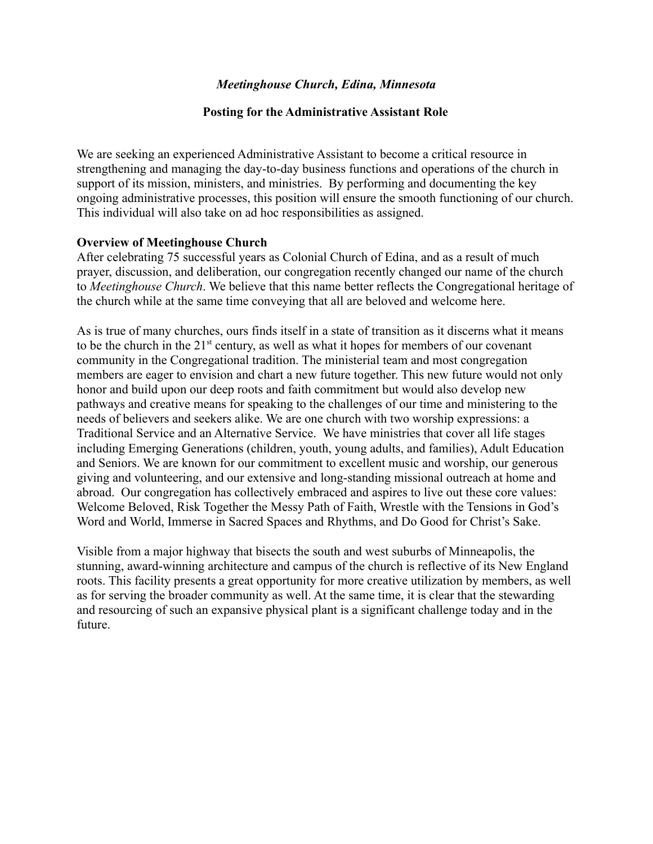### *Meetinghouse Church, Edina, Minnesota*

#### **Posting for the Administrative Assistant Role**

We are seeking an experienced Administrative Assistant to become a critical resource in strengthening and managing the day-to-day business functions and operations of the church in support of its mission, ministers, and ministries. By performing and documenting the key ongoing administrative processes, this position will ensure the smooth functioning of our church. This individual will also take on ad hoc responsibilities as assigned.

#### **Overview of Meetinghouse Church**

After celebrating 75 successful years as Colonial Church of Edina, and as a result of much prayer, discussion, and deliberation, our congregation recently changed our name of the church to *Meetinghouse Church*. We believe that this name better reflects the Congregational heritage of the church while at the same time conveying that all are beloved and welcome here.

As is true of many churches, ours finds itself in a state of transition as it discerns what it means to be the church in the 21<sup>st</sup> century, as well as what it hopes for members of our covenant community in the Congregational tradition. The ministerial team and most congregation members are eager to envision and chart a new future together. This new future would not only honor and build upon our deep roots and faith commitment but would also develop new pathways and creative means for speaking to the challenges of our time and ministering to the needs of believers and seekers alike. We are one church with two worship expressions: a Traditional Service and an Alternative Service. We have ministries that cover all life stages including Emerging Generations (children, youth, young adults, and families), Adult Education and Seniors. We are known for our commitment to excellent music and worship, our generous giving and volunteering, and our extensive and long-standing missional outreach at home and abroad. Our congregation has collectively embraced and aspires to live out these core values: Welcome Beloved, Risk Together the Messy Path of Faith, Wrestle with the Tensions in God's Word and World, Immerse in Sacred Spaces and Rhythms, and Do Good for Christ's Sake.

Visible from a major highway that bisects the south and west suburbs of Minneapolis, the stunning, award-winning architecture and campus of the church is reflective of its New England roots. This facility presents a great opportunity for more creative utilization by members, as well as for serving the broader community as well. At the same time, it is clear that the stewarding and resourcing of such an expansive physical plant is a significant challenge today and in the future.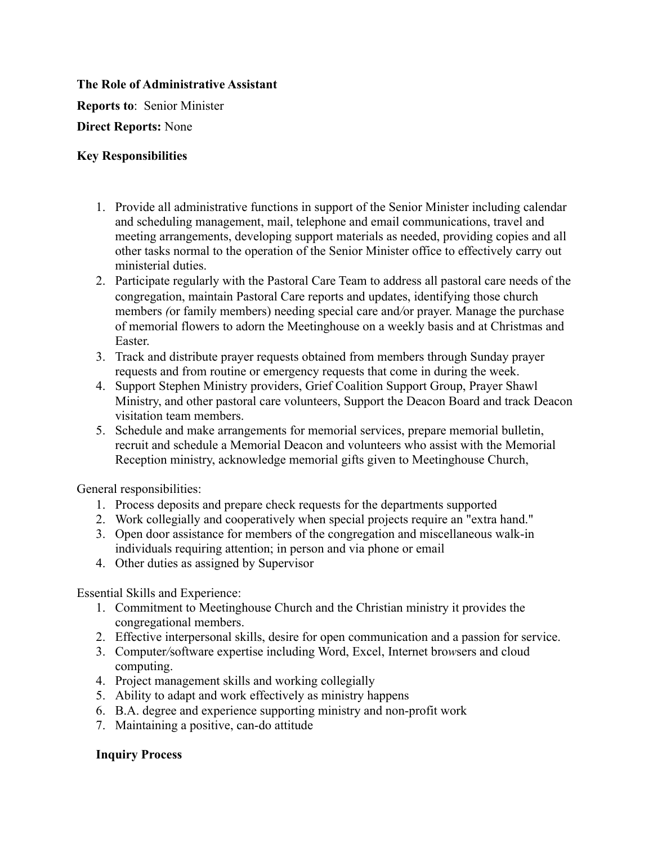# **The Role of Administrative Assistant**

**Reports to**: Senior Minister

**Direct Reports:** None

### **Key Responsibilities**

- 1. Provide all administrative functions in support of the Senior Minister including calendar and scheduling management, mail, telephone and email communications, travel and meeting arrangements, developing support materials as needed, providing copies and all other tasks normal to the operation of the Senior Minister office to effectively carry out ministerial duties.
- 2. Participate regularly with the Pastoral Care Team to address all pastoral care needs of the congregation, maintain Pastoral Care reports and updates, identifying those church members *(*or family members) needing special care and*/*or prayer. Manage the purchase of memorial flowers to adorn the Meetinghouse on a weekly basis and at Christmas and Easter.
- 3. Track and distribute prayer requests obtained from members through Sunday prayer requests and from routine or emergency requests that come in during the week.
- 4. Support Stephen Ministry providers, Grief Coalition Support Group, Prayer Shawl Ministry, and other pastoral care volunteers, Support the Deacon Board and track Deacon visitation team members.
- 5. Schedule and make arrangements for memorial services, prepare memorial bulletin, recruit and schedule a Memorial Deacon and volunteers who assist with the Memorial Reception ministry, acknowledge memorial gifts given to Meetinghouse Church,

General responsibilities:

- 1. Process deposits and prepare check requests for the departments supported
- 2. Work collegially and cooperatively when special projects require an "extra hand."
- 3. Open door assistance for members of the congregation and miscellaneous walk-in individuals requiring attention; in person and via phone or email
- 4. Other duties as assigned by Supervisor

Essential Skills and Experience:

- 1. Commitment to Meetinghouse Church and the Christian ministry it provides the congregational members.
- 2. Effective interpersonal skills, desire for open communication and a passion for service.
- 3. Computer*/*software expertise including Word, Excel, Internet bro*w*sers and cloud computing.
- 4. Project management skills and working collegially
- 5. Ability to adapt and work effectively as ministry happens
- 6. B.A. degree and experience supporting ministry and non-profit work
- 7. Maintaining a positive, can-do attitude

# **Inquiry Process**